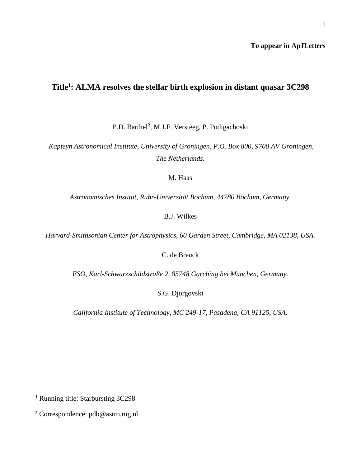## **To appear in ApJLetters**

# **Title<sup>1</sup> : ALMA resolves the stellar birth explosion in distant quasar 3C298**

P.D. Barthel<sup>2</sup>, M.J.F. Versteeg, P. Podigachoski

*Kapteyn Astronomical Institute, University of Groningen, P.O. Box 800, 9700 AV Groningen, The Netherlands.*

M. Haas

*Astronomisches Institut, Ruhr-Universität Bochum, 44780 Bochum, Germany.*

B.J. Wilkes

*Harvard-Smithsonian Center for Astrophysics, 60 Garden Street, Cambridge, MA 02138, USA.*

C. de Breuck

*ESO, Karl-Schwarzschildstraße 2, 85748 Garching bei München, Germany.*

S.G. Djorgovski

*California Institute of Technology, MC 249-17, Pasadena, CA 91125, USA.*

 $\ddot{\phantom{a}}$ 

<sup>1</sup> Running title: Starbursting 3C298

<sup>2</sup> Correspondence: pdb@astro.rug.nl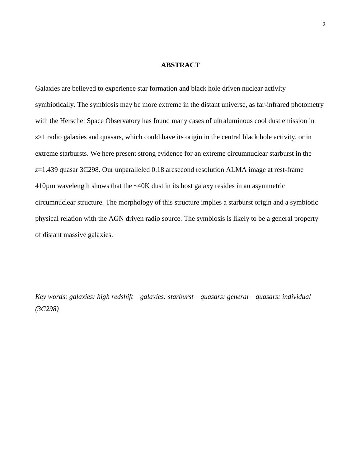# **ABSTRACT**

Galaxies are believed to experience star formation and black hole driven nuclear activity symbiotically. The symbiosis may be more extreme in the distant universe, as far-infrared photometry with the Herschel Space Observatory has found many cases of ultraluminous cool dust emission in *z*>1 radio galaxies and quasars, which could have its origin in the central black hole activity, or in extreme starbursts. We here present strong evidence for an extreme circumnuclear starburst in the *z*=1.439 quasar 3C298. Our unparalleled 0.18 arcsecond resolution ALMA image at rest-frame 410µm wavelength shows that the ~40K dust in its host galaxy resides in an asymmetric circumnuclear structure. The morphology of this structure implies a starburst origin and a symbiotic physical relation with the AGN driven radio source. The symbiosis is likely to be a general property of distant massive galaxies.

*Key words: galaxies: high redshift – galaxies: starburst – quasars: general – quasars: individual (3C298)*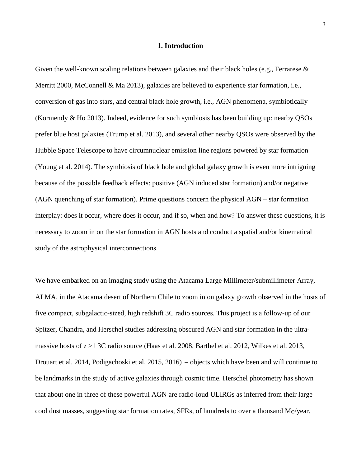#### **1. Introduction**

Given the well-known scaling relations between galaxies and their black holes (e.g., Ferrarese & Merritt 2000, McConnell & Ma 2013), galaxies are believed to experience star formation, i.e., conversion of gas into stars, and central black hole growth, i.e., AGN phenomena, symbiotically (Kormendy & Ho 2013). Indeed, evidence for such symbiosis has been building up: nearby QSOs prefer blue host galaxies (Trump et al. 2013), and several other nearby QSOs were observed by the Hubble Space Telescope to have circumnuclear emission line regions powered by star formation (Young et al. 2014). The symbiosis of black hole and global galaxy growth is even more intriguing because of the possible feedback effects: positive (AGN induced star formation) and/or negative (AGN quenching of star formation). Prime questions concern the physical AGN – star formation interplay: does it occur, where does it occur, and if so, when and how? To answer these questions, it is necessary to zoom in on the star formation in AGN hosts and conduct a spatial and/or kinematical study of the astrophysical interconnections.

We have embarked on an imaging study using the Atacama Large Millimeter/submillimeter Array, ALMA, in the Atacama desert of Northern Chile to zoom in on galaxy growth observed in the hosts of five compact, subgalactic-sized, high redshift 3C radio sources. This project is a follow-up of our Spitzer, Chandra, and Herschel studies addressing obscured AGN and star formation in the ultramassive hosts of *z* >1 3C radio source (Haas et al. 2008, Barthel et al. 2012, Wilkes et al. 2013, Drouart et al. 2014, Podigachoski et al. 2015, 2016) – objects which have been and will continue to be landmarks in the study of active galaxies through cosmic time. Herschel photometry has shown that about one in three of these powerful AGN are radio-loud ULIRGs as inferred from their large cool dust masses, suggesting star formation rates, SFRs, of hundreds to over a thousand  $M<sub>0</sub>/year$ .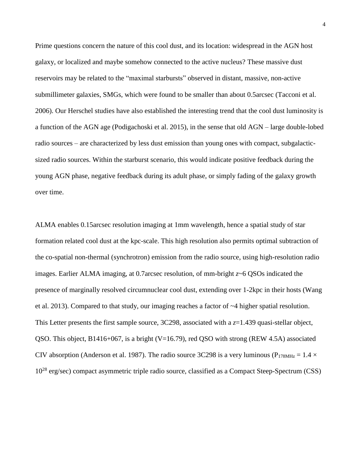Prime questions concern the nature of this cool dust, and its location: widespread in the AGN host galaxy, or localized and maybe somehow connected to the active nucleus? These massive dust reservoirs may be related to the "maximal starbursts" observed in distant, massive, non-active submillimeter galaxies, SMGs, which were found to be smaller than about 0.5arcsec (Tacconi et al. 2006). Our Herschel studies have also established the interesting trend that the cool dust luminosity is a function of the AGN age (Podigachoski et al. 2015), in the sense that old AGN – large double-lobed radio sources – are characterized by less dust emission than young ones with compact, subgalacticsized radio sources. Within the starburst scenario, this would indicate positive feedback during the young AGN phase, negative feedback during its adult phase, or simply fading of the galaxy growth over time.

ALMA enables 0.15arcsec resolution imaging at 1mm wavelength, hence a spatial study of star formation related cool dust at the kpc-scale. This high resolution also permits optimal subtraction of the co-spatial non-thermal (synchrotron) emission from the radio source, using high-resolution radio images. Earlier ALMA imaging, at 0.7arcsec resolution, of mm-bright *z*~6 QSOs indicated the presence of marginally resolved circumnuclear cool dust, extending over 1-2kpc in their hosts (Wang et al. 2013). Compared to that study, our imaging reaches a factor of ~4 higher spatial resolution. This Letter presents the first sample source, 3C298, associated with a *z*=1.439 quasi-stellar object, QSO. This object, B1416+067, is a bright (V=16.79), red QSO with strong (REW 4.5A) associated CIV absorption (Anderson et al. 1987). The radio source 3C298 is a very luminous ( $P_{178MHz} = 1.4 \times$  $10^{28}$  erg/sec) compact asymmetric triple radio source, classified as a Compact Steep-Spectrum (CSS)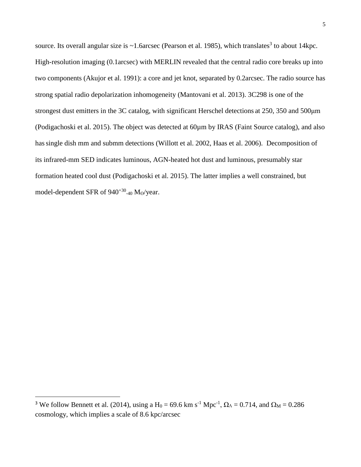source. Its overall angular size is  $\sim$ 1.6arcsec (Pearson et al. 1985), which translates<sup>3</sup> to about 14kpc. High-resolution imaging (0.1arcsec) with MERLIN revealed that the central radio core breaks up into two components (Akujor et al. 1991): a core and jet knot, separated by 0.2arcsec. The radio source has strong spatial radio depolarization inhomogeneity (Mantovani et al. 2013). 3C298 is one of the strongest dust emitters in the 3C catalog, with significant Herschel detections at 250, 350 and 500μm (Podigachoski et al. 2015). The object was detected at 60µm by IRAS (Faint Source catalog), and also hassingle dish mm and submm detections (Willott et al. 2002, Haas et al. 2006). Decomposition of its infrared-mm SED indicates luminous, AGN-heated hot dust and luminous, presumably star formation heated cool dust (Podigachoski et al. 2015). The latter implies a well constrained, but model-dependent SFR of  $940^{+30}$ <sub>-40</sub> M<sub>o</sub>/year.

 $\overline{a}$ 

<sup>&</sup>lt;sup>3</sup> We follow Bennett et al. (2014), using a H<sub>0</sub> = 69.6 km s<sup>-1</sup> Mpc<sup>-1</sup>,  $\Omega_A = 0.714$ , and  $\Omega_M = 0.286$ cosmology, which implies a scale of 8.6 kpc/arcsec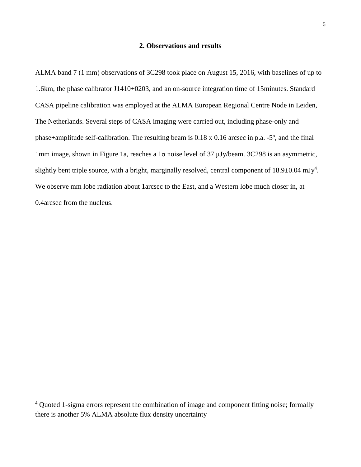### **2. Observations and results**

ALMA band 7 (1 mm) observations of 3C298 took place on August 15, 2016, with baselines of up to 1.6km, the phase calibrator J1410+0203, and an on-source integration time of 15minutes. Standard CASA pipeline calibration was employed at the ALMA European Regional Centre Node in Leiden, The Netherlands. Several steps of CASA imaging were carried out, including phase-only and phase+amplitude self-calibration. The resulting beam is 0.18 x 0.16 arcsec in p.a. -5º, and the final 1mm image, shown in Figure 1a, reaches a 1σ noise level of 37 μJy/beam. 3C298 is an asymmetric, slightly bent triple source, with a bright, marginally resolved, central component of  $18.9\pm0.04$  mJy<sup>4</sup>. We observe mm lobe radiation about 1arcsec to the East, and a Western lobe much closer in, at 0.4arcsec from the nucleus.

 $\overline{a}$ 

<sup>&</sup>lt;sup>4</sup> Quoted 1-sigma errors represent the combination of image and component fitting noise; formally there is another 5% ALMA absolute flux density uncertainty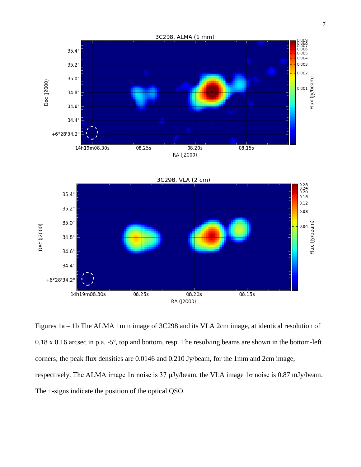

Figures 1a – 1b The ALMA 1mm image of 3C298 and its VLA 2cm image, at identical resolution of 0.18 x 0.16 arcsec in p.a. -5º, top and bottom, resp. The resolving beams are shown in the bottom-left corners; the peak flux densities are 0.0146 and 0.210 Jy/beam, for the 1mm and 2cm image, respectively. The ALMA image 1σ noise is 37 µJy/beam, the VLA image 1σ noise is 0.87 mJy/beam. The +-signs indicate the position of the optical QSO.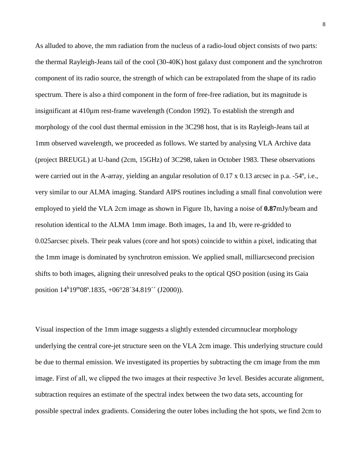As alluded to above, the mm radiation from the nucleus of a radio-loud object consists of two parts: the thermal Rayleigh-Jeans tail of the cool (30-40K) host galaxy dust component and the synchrotron component of its radio source, the strength of which can be extrapolated from the shape of its radio spectrum. There is also a third component in the form of free-free radiation, but its magnitude is insignificant at 410µm rest-frame wavelength (Condon 1992). To establish the strength and morphology of the cool dust thermal emission in the 3C298 host, that is its Rayleigh-Jeans tail at 1mm observed wavelength, we proceeded as follows. We started by analysing VLA Archive data (project BREUGL) at U-band (2cm, 15GHz) of 3C298, taken in October 1983. These observations were carried out in the A-array, yielding an angular resolution of 0.17 x 0.13 arcsec in p.a. -54<sup>o</sup>, i.e., very similar to our ALMA imaging. Standard AIPS routines including a small final convolution were employed to yield the VLA 2cm image as shown in Figure 1b, having a noise of **0.87**mJy/beam and resolution identical to the ALMA 1mm image. Both images, 1a and 1b, were re-gridded to 0.025arcsec pixels. Their peak values (core and hot spots) coincide to within a pixel, indicating that the 1mm image is dominated by synchrotron emission. We applied small, milliarcsecond precision shifts to both images, aligning their unresolved peaks to the optical QSO position (using its Gaia position  $14<sup>h</sup>19<sup>m</sup>08<sup>s</sup>0.1835, +06<sup>o</sup>28<sup>'</sup>34.819'$  (J2000)).

Visual inspection of the 1mm image suggests a slightly extended circumnuclear morphology underlying the central core-jet structure seen on the VLA 2cm image. This underlying structure could be due to thermal emission. We investigated its properties by subtracting the cm image from the mm image. First of all, we clipped the two images at their respective  $3\sigma$  level. Besides accurate alignment, subtraction requires an estimate of the spectral index between the two data sets, accounting for possible spectral index gradients. Considering the outer lobes including the hot spots, we find 2cm to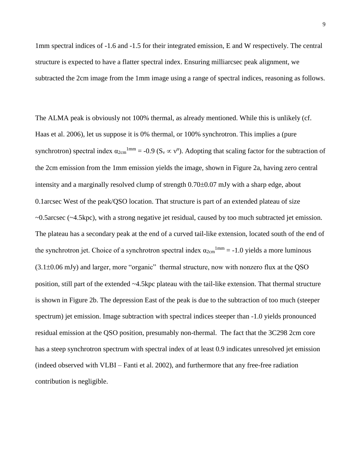1mm spectral indices of -1.6 and -1.5 for their integrated emission, E and W respectively. The central structure is expected to have a flatter spectral index. Ensuring milliarcsec peak alignment, we subtracted the 2cm image from the 1mm image using a range of spectral indices, reasoning as follows.

The ALMA peak is obviously not 100% thermal, as already mentioned. While this is unlikely (cf. Haas et al. 2006), let us suppose it is 0% thermal, or 100% synchrotron. This implies a (pure synchrotron) spectral index  $\alpha_{2cm}^{1mm} = -0.9$  ( $S_v \propto v^{\alpha}$ ). Adopting that scaling factor for the subtraction of the 2cm emission from the 1mm emission yields the image, shown in Figure 2a, having zero central intensity and a marginally resolved clump of strength  $0.70\pm0.07$  mJy with a sharp edge, about 0.1arcsec West of the peak/QSO location. That structure is part of an extended plateau of size ~0.5arcsec (~4.5kpc), with a strong negative jet residual, caused by too much subtracted jet emission. The plateau has a secondary peak at the end of a curved tail-like extension, located south of the end of the synchrotron jet. Choice of a synchrotron spectral index  $\alpha_{2cm}^{1mm} = -1.0$  yields a more luminous  $(3.1\pm0.06 \text{ mJy})$  and larger, more "organic" thermal structure, now with nonzero flux at the QSO position, still part of the extended ~4.5kpc plateau with the tail-like extension. That thermal structure is shown in Figure 2b. The depression East of the peak is due to the subtraction of too much (steeper spectrum) jet emission. Image subtraction with spectral indices steeper than -1.0 yields pronounced residual emission at the QSO position, presumably non-thermal. The fact that the 3C298 2cm core has a steep synchrotron spectrum with spectral index of at least 0.9 indicates unresolved jet emission (indeed observed with VLBI – Fanti et al. 2002), and furthermore that any free-free radiation contribution is negligible.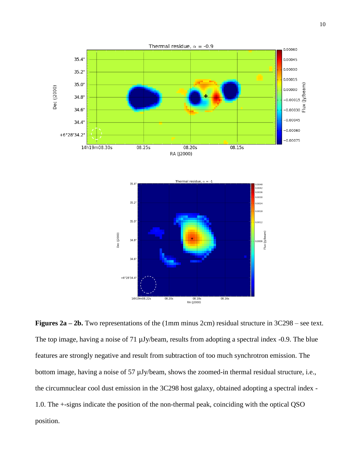

**Figures 2a – 2b.** Two representations of the (1mm minus 2cm) residual structure in 3C298 – see text. The top image, having a noise of 71  $\mu$ Jy/beam, results from adopting a spectral index -0.9. The blue features are strongly negative and result from subtraction of too much synchrotron emission. The bottom image, having a noise of 57  $\mu$ Jy/beam, shows the zoomed-in thermal residual structure, i.e., the circumnuclear cool dust emission in the 3C298 host galaxy, obtained adopting a spectral index - 1.0. The +-signs indicate the position of the non-thermal peak, coinciding with the optical QSO position.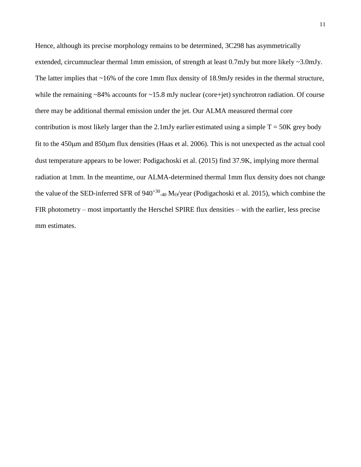Hence, although its precise morphology remains to be determined, 3C298 has asymmetrically extended, circumnuclear thermal 1mm emission, of strength at least 0.7mJy but more likely ~3.0mJy. The latter implies that ~16% of the core 1mm flux density of 18.9mJy resides in the thermal structure, while the remaining  $\sim 84\%$  accounts for  $\sim 15.8$  mJy nuclear (core+jet) synchrotron radiation. Of course there may be additional thermal emission under the jet. Our ALMA measured thermal core contribution is most likely larger than the 2.1mJy earlier estimated using a simple  $T = 50K$  grey body fit to the  $450\mu$ m and  $850\mu$ m flux densities (Haas et al. 2006). This is not unexpected as the actual cool dust temperature appears to be lower: Podigachoski et al. (2015) find 37.9K, implying more thermal radiation at 1mm. In the meantime, our ALMA-determined thermal 1mm flux density does not change the value of the SED-inferred SFR of  $940^{+30}$ <sub>-40</sub> M<sub>o</sub>/year (Podigachoski et al. 2015), which combine the FIR photometry – most importantly the Herschel SPIRE flux densities – with the earlier, less precise mm estimates.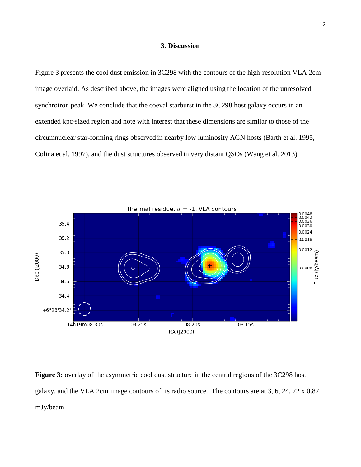### **3. Discussion**

Figure 3 presents the cool dust emission in 3C298 with the contours of the high-resolution VLA 2cm image overlaid. As described above, the images were aligned using the location of the unresolved synchrotron peak. We conclude that the coeval starburst in the 3C298 host galaxy occurs in an extended kpc-sized region and note with interest that these dimensions are similar to those of the circumnuclear star-forming rings observed in nearby low luminosity AGN hosts (Barth et al. 1995, Colina et al. 1997), and the dust structures observed in very distant QSOs (Wang et al. 2013).



**Figure 3:** overlay of the asymmetric cool dust structure in the central regions of the 3C298 host galaxy, and the VLA 2cm image contours of its radio source. The contours are at 3, 6, 24, 72 x 0.87 mJy/beam.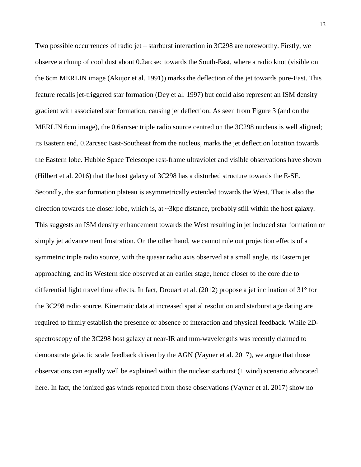Two possible occurrences of radio jet – starburst interaction in 3C298 are noteworthy. Firstly, we observe a clump of cool dust about 0.2arcsec towards the South-East, where a radio knot (visible on the 6cm MERLIN image (Akujor et al. 1991)) marks the deflection of the jet towards pure-East. This feature recalls jet-triggered star formation (Dey et al. 1997) but could also represent an ISM density gradient with associated star formation, causing jet deflection. As seen from Figure 3 (and on the MERLIN 6cm image), the 0.6arcsec triple radio source centred on the 3C298 nucleus is well aligned; its Eastern end, 0.2arcsec East-Southeast from the nucleus, marks the jet deflection location towards the Eastern lobe. Hubble Space Telescope rest-frame ultraviolet and visible observations have shown (Hilbert et al. 2016) that the host galaxy of 3C298 has a disturbed structure towards the E-SE. Secondly, the star formation plateau is asymmetrically extended towards the West. That is also the direction towards the closer lobe, which is, at ~3kpc distance, probably still within the host galaxy. This suggests an ISM density enhancement towards the West resulting in jet induced star formation or simply jet advancement frustration. On the other hand, we cannot rule out projection effects of a symmetric triple radio source, with the quasar radio axis observed at a small angle, its Eastern jet approaching, and its Western side observed at an earlier stage, hence closer to the core due to differential light travel time effects. In fact, Drouart et al. (2012) propose a jet inclination of 31° for the 3C298 radio source. Kinematic data at increased spatial resolution and starburst age dating are required to firmly establish the presence or absence of interaction and physical feedback. While 2Dspectroscopy of the 3C298 host galaxy at near-IR and mm-wavelengths was recently claimed to demonstrate galactic scale feedback driven by the AGN (Vayner et al. 2017), we argue that those observations can equally well be explained within the nuclear starburst (+ wind) scenario advocated here. In fact, the ionized gas winds reported from those observations (Vayner et al. 2017) show no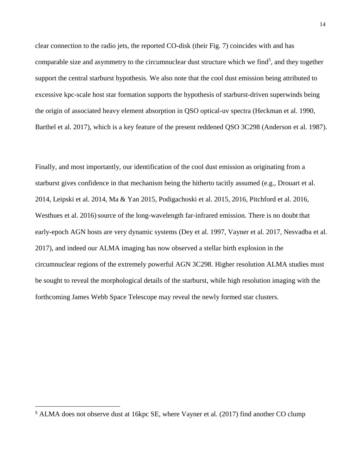clear connection to the radio jets, the reported CO-disk (their Fig. 7) coincides with and has comparable size and asymmetry to the circumnuclear dust structure which we find<sup>5</sup>, and they together support the central starburst hypothesis. We also note that the cool dust emission being attributed to excessive kpc-scale host star formation supports the hypothesis of starburst-driven superwinds being the origin of associated heavy element absorption in QSO optical-uv spectra (Heckman et al. 1990, Barthel et al. 2017), which is a key feature of the present reddened QSO 3C298 (Anderson et al. 1987).

Finally, and most importantly, our identification of the cool dust emission as originating from a starburst gives confidence in that mechanism being the hitherto tacitly assumed (e.g., Drouart et al. 2014, Leipski et al. 2014, Ma & Yan 2015, Podigachoski et al. 2015, 2016, Pitchford et al. 2016, Westhues et al. 2016) source of the long-wavelength far-infrared emission. There is no doubt that early-epoch AGN hosts are very dynamic systems (Dey et al. 1997, Vayner et al. 2017, Nesvadba et al. 2017), and indeed our ALMA imaging has now observed a stellar birth explosion in the circumnuclear regions of the extremely powerful AGN 3C298. Higher resolution ALMA studies must be sought to reveal the morphological details of the starburst, while high resolution imaging with the forthcoming James Webb Space Telescope may reveal the newly formed star clusters.

 $\ddot{\phantom{a}}$ 

<sup>5</sup> ALMA does not observe dust at 16kpc SE, where Vayner et al. (2017) find another CO clump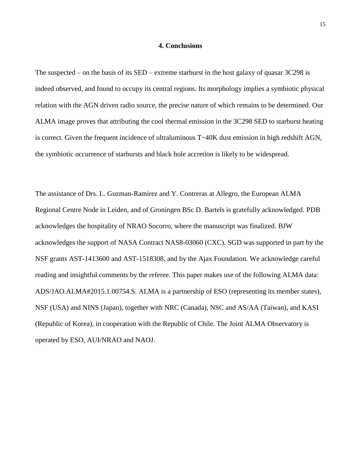## **4. Conclusions**

The suspected – on the basis of its SED – extreme starburst in the host galaxy of quasar 3C298 is indeed observed, and found to occupy its central regions. Its morphology implies a symbiotic physical relation with the AGN driven radio source, the precise nature of which remains to be determined. Our ALMA image proves that attributing the cool thermal emission in the 3C298 SED to starburst heating is correct. Given the frequent incidence of ultraluminous T~40K dust emission in high redshift AGN, the symbiotic occurrence of starbursts and black hole accretion is likely to be widespread.

The assistance of Drs. L. Guzman-Ramirez and Y. Contreras at Allegro, the European ALMA Regional Centre Node in Leiden, and of Groningen BSc D. Bartels is gratefully acknowledged. PDB acknowledges the hospitality of NRAO Socorro, where the manuscript was finalized. BJW acknowledges the support of NASA Contract NAS8-03060 (CXC). SGD was supported in part by the NSF grants AST-1413600 and AST-1518308, and by the Ajax Foundation. We acknowledge careful reading and insightful comments by the referee. This paper makes use of the following ALMA data: ADS/JAO.ALMA#2015.1.00754.S. ALMA is a partnership of ESO (representing its member states), NSF (USA) and NINS (Japan), together with NRC (Canada), NSC and AS/AA (Taiwan), and KASI (Republic of Korea), in cooperation with the Republic of Chile. The Joint ALMA Observatory is operated by ESO, AUI/NRAO and NAOJ.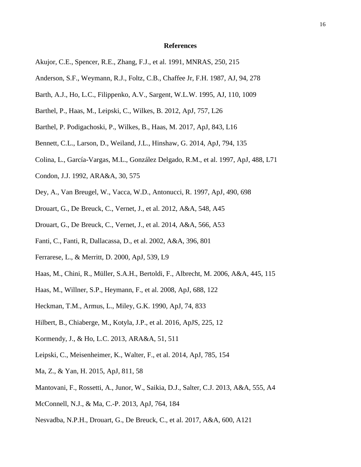#### **References**

- Akujor, C.E., Spencer, R.E., Zhang, F.J., et al. 1991, MNRAS, 250, 215
- Anderson, S.F., Weymann, R.J., Foltz, C.B., Chaffee Jr, F.H. 1987, AJ, 94, 278
- Barth, A.J., Ho, L.C., Filippenko, A.V., Sargent, W.L.W. 1995, AJ, 110, 1009
- Barthel, P., Haas, M., Leipski, C., Wilkes, B. 2012, ApJ, 757, L26
- Barthel, P. Podigachoski, P., Wilkes, B., Haas, M. 2017, ApJ, 843, L16
- Bennett, C.L., Larson, D., Weiland, J.L., Hinshaw, G. 2014, ApJ, 794, 135
- Colina, L., García-Vargas, M.L., González Delgado, R.M., et al. 1997, ApJ, 488, L71
- Condon, J.J. 1992, ARA&A, 30, 575
- Dey, A., Van Breugel, W., Vacca, W.D., Antonucci, R. 1997, ApJ, 490, 698
- Drouart, G., De Breuck, C., Vernet, J., et al. 2012, A&A, 548, A45
- Drouart, G., De Breuck, C., Vernet, J., et al. 2014, A&A, 566, A53
- Fanti, C., Fanti, R, Dallacassa, D., et al. 2002, A&A, 396, 801
- Ferrarese, L., & Merritt, D. 2000, ApJ, 539, L9
- Haas, M., Chini, R., Müller, S.A.H., Bertoldi, F., Albrecht, M. 2006, A&A, 445, 115
- Haas, M., Willner, S.P., Heymann, F., et al. 2008, ApJ, 688, 122
- Heckman, T.M., Armus, L., Miley, G.K. 1990, ApJ, 74, 833
- Hilbert, B., Chiaberge, M., Kotyla, J.P., et al. 2016, ApJS, 225, 12
- Kormendy, J., & Ho, L.C. 2013, ARA&A, 51, 511
- Leipski, C., Meisenheimer, K., Walter, F., et al. 2014, ApJ, 785, 154
- Ma, Z., & Yan, H. 2015, ApJ, 811, 58
- Mantovani, F., Rossetti, A., Junor, W., Saikia, D.J., Salter, C.J. 2013, A&A, 555, A4
- McConnell, N.J., & Ma, C.-P. 2013, ApJ, 764, 184
- Nesvadba, N.P.H., Drouart, G., De Breuck, C., et al. 2017, A&A, 600, A121